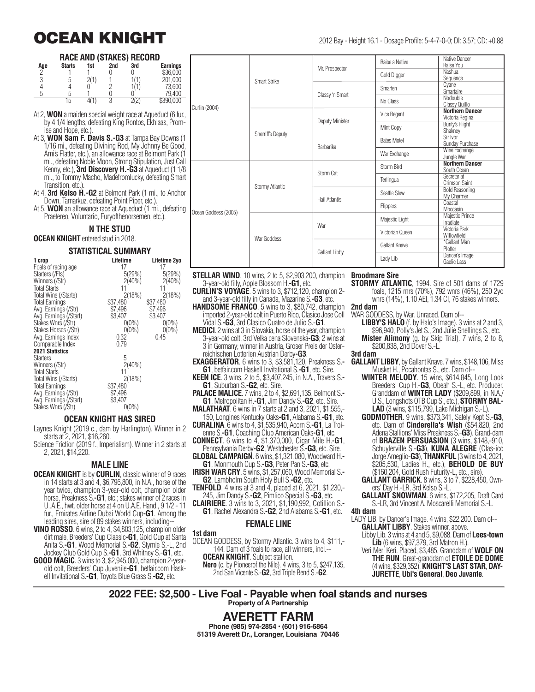## **OCEAN KNIGHT** 2012 Bay - Height 16.1 - Dosage Profile: 5-4-7-0-0; DI: 3.57; CD: +0.88

#### **RACE AND (STAKES) RECORD**

| Age      | <b>Starts</b> | 1st | 2nd | 3rd  | <b>Earnings</b> |
|----------|---------------|-----|-----|------|-----------------|
| $\Omega$ |               |     |     |      | \$36,000        |
| n        |               |     |     |      | 201,000         |
|          |               |     |     |      | 73.600          |
|          |               |     |     |      | 79.400          |
|          | 15            |     | J   | 2(2) | \$390,000       |

At 2, **WON** a maiden special weight race at Aqueduct (6 fur., by 4 1/4 lengths, defeating King Rontos, Ekhlaas, Promise and Hope, etc.)

At 3, **WON Sam F. Davis S.-G3** at Tampa Bay Downs (1 1/16 mi., defeating Divining Rod, My Johnny Be Good, Ami's Flatter, etc.), an allowance race at Belmont Park (1 mi., defeating Noble Moon, Strong Stipulation, Just Call Kenny, etc.), **3rd Discovery H.-G3** at Aqueduct (1 1/8 mi., to Tommy Macho, Madefromlucky, defeating Smart Transition, etc.)

At 4, **3rd Kelso H.-G2** at Belmont Park (1 mi., to Anchor Down, Tamarkuz, defeating Point Piper, etc.).

At 5, **WON** an allowance race at Aqueduct (1 mi., defeating Praetereo, Voluntario, Furyofthenorsemen, etc.).

#### **N THE STUD**

#### **OCEAN KNIGHT** entered stud in 2018.

#### **STATISTICAL SUMMARY**

| 1 crop                 | Lifetime  | Lifetime 2yo |
|------------------------|-----------|--------------|
| Foals of racing age    | 17        | 17           |
| Starters (/Fls)        | 5(29%)    | 5(29%)       |
| Winners (/Str)         | $2(40\%)$ | $2(40\%)$    |
| <b>Total Starts</b>    | 11        | 11           |
| Total Wins (/Starts)   | 2(18%)    | 2(18%)       |
| <b>Total Earnings</b>  | \$37,480  | \$37,480     |
| Avg. Earnings (/Str)   | \$7,496   | \$7,496      |
| Avg. Earnings (/Start) | \$3,407   | \$3,407      |
| Stakes Wnrs (/Str)     | $0(0\%)$  | $0(0\%)$     |
| Stakes Horses (/Str)   | $0(0\%)$  | $0(0\%)$     |
| Avg. Earnings Index    | 0.32      | 0.45         |
| Comparable Index       | 0.79      |              |
| <b>2021 Statistics</b> |           |              |
| <b>Starters</b>        | 5         |              |
| Winners (/Str)         | $2(40\%)$ |              |
| <b>Total Starts</b>    | 11        |              |
| Total Wins (/Starts)   | 2(18%)    |              |
| <b>Total Earnings</b>  | \$37,480  |              |
| Avg. Earnings (/Str)   | \$7,496   |              |
| Avg. Earnings (/Start) | \$3,407   |              |
| Stakes Wnrs (/Str)     | $0(0\%)$  |              |
|                        |           |              |

#### **OCEAN KNIGHT HAS SIRED**

Laynes Knight (2019 c., dam by Harlington). Winner in 2 starts at 2, 2021, \$16,260.

Science Friction (2019 f., Imperialism). Winner in 2 starts at 2, 2021, \$14,220.

#### **MALE LINE**

- **OCEAN KNIGHT** is by **CURLIN**, classic winner of 9 races in 14 starts at 3 and 4, \$6,796,800, in N.A., horse of the year twice, champion 3-year-old colt, champion older horse, Preakness S.**-G1**, etc.; stakes winner of 2 races in U..A.E., hwt. older horse at 4 on U.A.E. Hand., 9 1/2 - 11 fur., Emirates Airline Dubai World Cup**-G1**. Among the
- leading sires, sire of 89 stakes winners, including-- **VINO ROSSO**. 6 wins, 2 to 4, \$4,803,125, champion older dirt male, Breeders' Cup Classic**-G1**, Gold Cup at Santa Anita S.**-G1**, Wood Memorial S.**-G2**, Stymie S.-L, 2nd Jockey Club Gold Cup S.**-G1**, 3rd Whitney S.-**G1**, etc. **GOOD MAGIC**. 3 wins to 3, \$2,945,000, champion 2-yearold colt, Breeders' Cup Juvenile**-G1**, betfair.com Haskell Invitational S.**-G1**, Toyota Blue Grass S.**-G2**, etc.

|  | Raise a Native | Native Dancer<br>Raise You |
|--|----------------|----------------------------|

|                      | Smart Strike             | Mr. Prospector       | Raise a Native     | Native Dancer<br>Raise You                |
|----------------------|--------------------------|----------------------|--------------------|-------------------------------------------|
|                      |                          |                      | Gold Digger        | Nashua<br>Sequence                        |
|                      |                          | Classy 'n Smart      | Smarten            | Cyane<br>Smartaire                        |
| Curlin (2004)        |                          |                      | No Class           | Nodouble<br>Classy Quillo                 |
|                      | <b>Sherriff's Deputy</b> | Deputy Minister      | Vice Regent        | <b>Northern Dancer</b><br>Victoria Regina |
|                      |                          |                      | Mint Copy          | Bunty's Flight<br>Shakney                 |
|                      |                          | Barbarika            | <b>Bates Motel</b> | Sir Ivor<br>Sunday Purchase               |
|                      |                          |                      | War Exchange       | Wise Exchange<br>Jungle War               |
|                      | Stormy Atlantic          | Storm Cat            | Storm Bird         | <b>Northern Dancer</b><br>South Ocean     |
|                      |                          |                      | Terlingua          | Secretariat<br>Crimson Saint              |
|                      |                          | <b>Hail Atlantis</b> | Seattle Slew       | <b>Bold Reasoning</b><br>My Charmer       |
| Ocean Goddess (2005) |                          |                      | Flippers           | Coastal<br>Moccasin                       |
|                      | War Goddess              | War                  | Majestic Light     | Majestic Prince<br>Irradiate              |
|                      |                          |                      | Victorian Queen    | Victoria Park<br>Willowfield              |
|                      |                          | <b>Gallant Libby</b> | Gallant Knave      | *Gallant Man<br>Plotter                   |
|                      |                          |                      | Lady Lib           | Dancer's Image<br>Gaelic Lass             |

- **STELLAR WIND**. 10 wins, 2 to 5, \$2,903,200, champion **Broodmare Sire** 3-year-old filly, Apple Blossom H.**-G1**, etc.
- **CURLIN'S VOYAGE**. 5 wins to 3, \$712,120, champion 2 and 3-year-old filly in Canada, Mazarine S.**-G3**, etc.
- **HANDSOME FRANCO**. 5 wins to 3, \$80,742, champion **2nd dam** imported 2-year-old colt in Puerto Rico, Clasico Jose Coll Vidal S.**-G3**, 3rd Clasico Cuatro de Julio S.-**G1**.
- **MEDICI**. 2 wins at 3 in Slovakia, horse of the year, champion 3-year-old colt, 3rd Velka cena Slovenska**-G3**; 2 wins at 3 in Germany; winner in Austria, Groser Preis der Osterreichischen Lotterien Austrian Derby**-G3**.
- **EXAGGERATOR**. 6 wins to 3, \$3,581,120, Preakness S.**- G1**, betfair.com Haskell Invitational S.**-G1**, etc. Sire.
- **KEEN ICE**. 3 wins, 2 to 5, \$3,407,245, in N.A., Travers S.**- G1**, Suburban S.**-G2**, etc. Sire.
- **PALACE MALICE**. 7 wins, 2 to 4, \$2,691,135, Belmont S.**- G1**, Metropolitan H.**-G1**, Jim Dandy S.**-G2**, etc. Sire.
- **MALATHAAT**. 6 wins in 7 starts at 2 and 3, 2021, \$1,555,-
- 150, Longines Kentucky Oaks**-G1**, Alabama S.**-G1**, etc. **CURALINA**. 6 wins to 4, \$1,535,940, Acorn S.**-G1**, La Troi-
- enne S.**-G1**, Coaching Club American Oaks**-G1**, etc. **CONNECT**. 6 wins to 4, \$1,370,000, Cigar Mile H.**-G1**,
- Pennsylvania Derby**-G2**, Westchester S.**-G3**, etc. Sire. **GLOBAL CAMPAIGN**. 6 wins, \$1,321,080, Woodward H.**-**
- **G1**, Monmouth Cup S.**-G3**, Peter Pan S.**-G3**, etc.

**IRISH WAR CRY**. 5 wins, \$1,257,060, Wood Memorial S.**- G2**, Lambholm South Holy Bull S.**-G2**, etc.

- **TENFOLD**. 4 wins at 3 and 4, placed at 6, 2021, \$1,230,- 245, Jim Dandy S.**-G2**, Pimlico Special S.**-G3**, etc.
- **CLAIRIERE**. 3 wins to 3, 2021, \$1,190,992, Cotillion S.**- G1**, Rachel Alexandra S.**-G2**, 2nd Alabama S.**-G1**, etc.

#### **FEMALE LINE**

#### **1st dam**

OCEAN GODDESS, by Stormy Atlantic. 3 wins to 4, \$111,- 144. Dam of 3 foals to race, all winners, incl.-- **OCEAN KNIGHT.** Subject stallion.

**Nero** (c. by Pioneerof the Nile). 4 wins, 3 to 5, \$247,135, 2nd San Vicente S.-**G2**, 3rd Triple Bend S.-**G2**.

**STORMY ATLANTIC**, 1994. Sire of 501 dams of 1729 foals, 1215 rnrs (70%), 792 wnrs (46%), 250 2yo wnrs (14%), 1.10 AEI, 1.34 CI, 76 stakes winners.

WAR GODDESS, by War. Unraced. Dam of--

- **LIBBY'S HALO** (f. by Halo's Image). 3 wins at 2 and 3,
- \$96,940, Polly's Jet S., 2nd Julie Snellings S., etc. **Mister Alimony** (g. by Skip Trial). 7 wins, 2 to 8, \$200,838, 2nd Dover S.-L.

#### **3rd dam**

- **GALLANT LIBBY**, by Gallant Knave. 7 wins, \$148,106, Miss Musket H., Pocahontas S., etc. Dam of--
	- **WINTER MELODY**. 15 wins, \$614,845, Long Look Breeders' Cup H.-**G3**, Obeah S.-L, etc. Producer. Granddam of **WINTER LADY** (\$209,899, in N.A./ U.S., Longshots OTB Cup S., etc.), **STORMY BAL-LAD** (3 wins, \$115,799, Lake Michigan S.-L).
	- **GODMOTHER**. 9 wins, \$373,341, Safely Kept S.-**G3**, etc. Dam of **Cinderella's Wish** (\$54,820, 2nd Adena Stallions' Miss Preakness S.-**G3**). Grand-dam of **BRAZEN PERSUASION** (3 wins, \$148,-910, Schuylerville S.-**G3**), **KUNA ALEGRE** (Clas-ico Jorge Ameglio-**G3**), **THANKFUL** (3 wins to 4, 2021, \$205,530, Ladies H., etc.), **BEHOLD DE BUY** (\$160,204, Gold Rush Futurity-L, etc., sire).
	- **GALLANT GARRICK**. 8 wins, 3 to 7, \$228,450, Owners' Day H.-LR, 3rd Kelso S.-L.
	- **GALLANT SNOWMAN**. 6 wins, \$172,205, Draft Card S.-LR, 3rd Vincent A. Moscarelli Memorial S.-L.
- **4th dam**
- LADY LIB, by Dancer's Image. 4 wins, \$22,200. Dam of-- **GALLANT LIBBY**. Stakes winner, above.
	- Libby Lib. 3 wins at 4 and 5, \$9,088. Dam of **Lees-town Lib** (6 wins, \$97,379, 3rd Matron H.).
	- Veri Meri Keri. Placed, \$3,485. Granddam of **WOLF ON THE RUN**. Great-granddam of **ETOILE DE DOME** (4 wins, \$329,352), **KNIGHT'S LAST STAR**, **DAY-JURETTE**, **Ubi's General**, **Deo Juvante**.

**2022 FEE: \$2,500 - Live Foal - Payable when foal stands and nurses Property of A Partnership**

> **AVERETT FARM Phone (985) 974-2854 • (601) 916-6864 51319 Averett Dr., Loranger, Louisiana 70446**